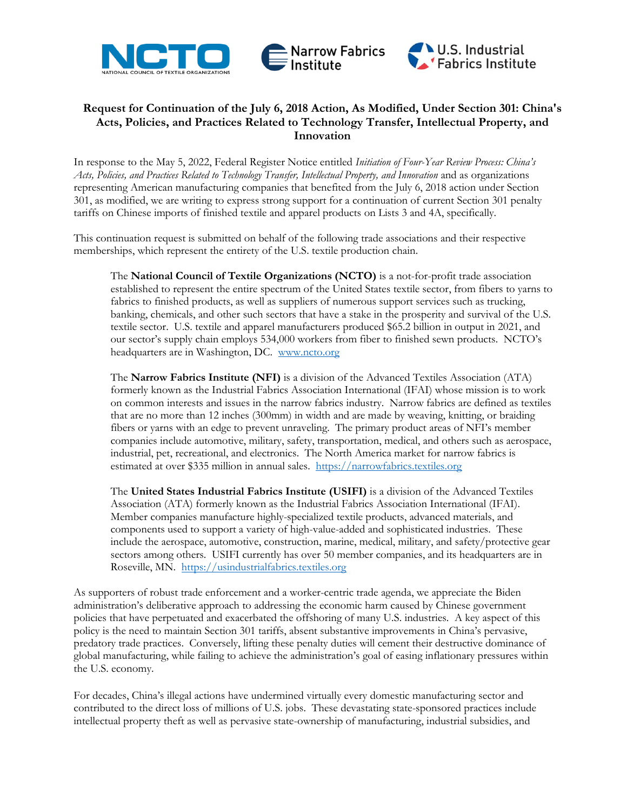





## **Request for Continuation of the July 6, 2018 Action, As Modified, Under Section 301: China's Acts, Policies, and Practices Related to Technology Transfer, Intellectual Property, and Innovation**

In response to the May 5, 2022, Federal Register Notice entitled *Initiation of Four-Year Review Process: China's Acts, Policies, and Practices Related to Technology Transfer, Intellectual Property, and Innovation* and as organizations representing American manufacturing companies that benefited from the July 6, 2018 action under Section 301, as modified, we are writing to express strong support for a continuation of current Section 301 penalty tariffs on Chinese imports of finished textile and apparel products on Lists 3 and 4A, specifically.

This continuation request is submitted on behalf of the following trade associations and their respective memberships, which represent the entirety of the U.S. textile production chain.

The **National Council of Textile Organizations (NCTO)** is a not-for-profit trade association established to represent the entire spectrum of the United States textile sector, from fibers to yarns to fabrics to finished products, as well as suppliers of numerous support services such as trucking, banking, chemicals, and other such sectors that have a stake in the prosperity and survival of the U.S. textile sector. U.S. textile and apparel manufacturers produced \$65.2 billion in output in 2021, and our sector's supply chain employs 534,000 workers from fiber to finished sewn products. NCTO's headquarters are in Washington, DC. [www.ncto.org](http://www.ncto.org/)

The **Narrow Fabrics Institute (NFI)** is a division of the Advanced Textiles Association (ATA) formerly known as the Industrial Fabrics Association International (IFAI) whose mission is to work on common interests and issues in the narrow fabrics industry. Narrow fabrics are defined as textiles that are no more than 12 inches (300mm) in width and are made by weaving, knitting, or braiding fibers or yarns with an edge to prevent unraveling. The primary product areas of NFI's member companies include automotive, military, safety, transportation, medical, and others such as aerospace, industrial, pet, recreational, and electronics. The North America market for narrow fabrics is estimated at over \$335 million in annual sales. [https://narrowfabrics.textiles.org](https://narrowfabrics.textiles.org/)

The **United States Industrial Fabrics Institute (USIFI)** is a division of the Advanced Textiles Association (ATA) formerly known as the Industrial Fabrics Association International (IFAI). Member companies manufacture highly-specialized textile products, advanced materials, and components used to support a variety of high-value-added and sophisticated industries. These include the aerospace, automotive, construction, marine, medical, military, and safety/protective gear sectors among others. USIFI currently has over 50 member companies, and its headquarters are in Roseville, MN. [https://usindustrialfabrics.textiles.org](https://usindustrialfabrics.textiles.org/)

As supporters of robust trade enforcement and a worker-centric trade agenda, we appreciate the Biden administration's deliberative approach to addressing the economic harm caused by Chinese government policies that have perpetuated and exacerbated the offshoring of many U.S. industries. A key aspect of this policy is the need to maintain Section 301 tariffs, absent substantive improvements in China's pervasive, predatory trade practices. Conversely, lifting these penalty duties will cement their destructive dominance of global manufacturing, while failing to achieve the administration's goal of easing inflationary pressures within the U.S. economy.

For decades, China's illegal actions have undermined virtually every domestic manufacturing sector and contributed to the direct loss of millions of U.S. jobs. These devastating state-sponsored practices include intellectual property theft as well as pervasive state-ownership of manufacturing, industrial subsidies, and